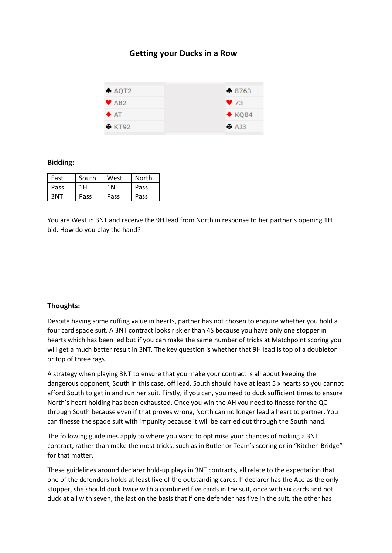## **Getting your Ducks in a Row**



## **Bidding:**

| East | South | West            | North |
|------|-------|-----------------|-------|
| Pass | 1H    | 1 <sub>NT</sub> | Pass  |
| 3NT  | Pass  | Pass            | Pass  |

You are West in 3NT and receive the 9H lead from North in response to her partner's opening 1H bid. How do you play the hand?

## **Thoughts:**

Despite having some ruffing value in hearts, partner has not chosen to enquire whether you hold a four card spade suit. A 3NT contract looks riskier than 4S because you have only one stopper in hearts which has been led but if you can make the same number of tricks at Matchpoint scoring you will get a much better result in 3NT. The key question is whether that 9H lead is top of a doubleton or top of three rags.

A strategy when playing 3NT to ensure that you make your contract is all about keeping the dangerous opponent, South in this case, off lead. South should have at least 5 x hearts so you cannot afford South to get in and run her suit. Firstly, if you can, you need to duck sufficient times to ensure North's heart holding has been exhausted. Once you win the AH you need to finesse for the QC through South because even if that proves wrong, North can no longer lead a heart to partner. You can finesse the spade suit with impunity because it will be carried out through the South hand.

The following guidelines apply to where you want to optimise your chances of making a 3NT contract, rather than make the most tricks, such as in Butler or Team's scoring or in "Kitchen Bridge" for that matter.

These guidelines around declarer hold-up plays in 3NT contracts, all relate to the expectation that one of the defenders holds at least five of the outstanding cards. If declarer has the Ace as the only stopper, she should duck twice with a combined five cards in the suit, once with six cards and not duck at all with seven, the last on the basis that if one defender has five in the suit, the other has